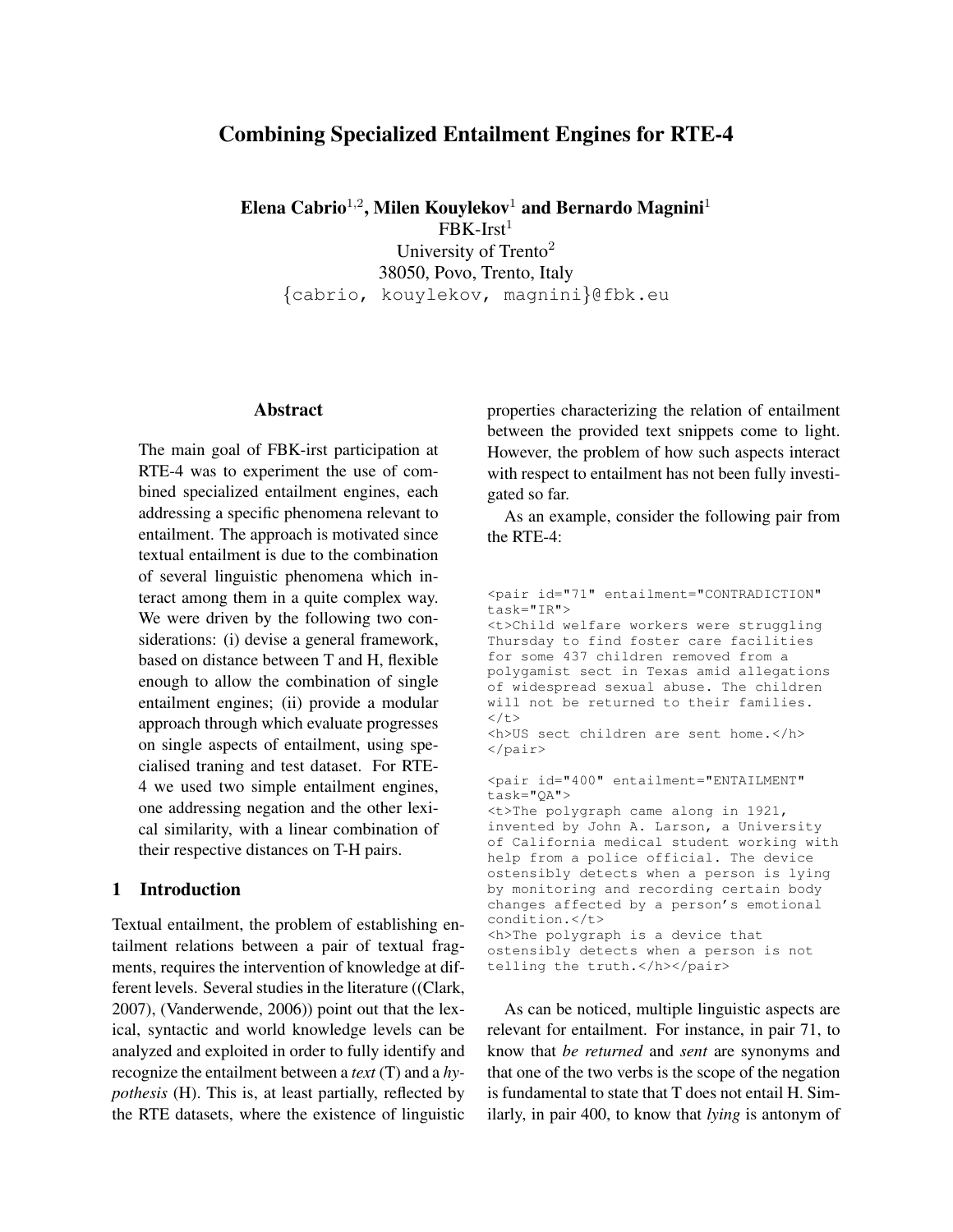# Combining Specialized Entailment Engines for RTE-4

Elena Cabrio<sup>1,2</sup>, Milen Kouylekov<sup>1</sup> and Bernardo Magnini<sup>1</sup>

 $FBK-Irst<sup>1</sup>$ University of Trento<sup>2</sup> 38050, Povo, Trento, Italy {cabrio, kouylekov, magnini}@fbk.eu

### Abstract

The main goal of FBK-irst participation at RTE-4 was to experiment the use of combined specialized entailment engines, each addressing a specific phenomena relevant to entailment. The approach is motivated since textual entailment is due to the combination of several linguistic phenomena which interact among them in a quite complex way. We were driven by the following two considerations: (i) devise a general framework, based on distance between T and H, flexible enough to allow the combination of single entailment engines; (ii) provide a modular approach through which evaluate progresses on single aspects of entailment, using specialised traning and test dataset. For RTE-4 we used two simple entailment engines, one addressing negation and the other lexical similarity, with a linear combination of their respective distances on T-H pairs.

## 1 Introduction

Textual entailment, the problem of establishing entailment relations between a pair of textual fragments, requires the intervention of knowledge at different levels. Several studies in the literature ((Clark, 2007), (Vanderwende, 2006)) point out that the lexical, syntactic and world knowledge levels can be analyzed and exploited in order to fully identify and recognize the entailment between a *text* (T) and a *hypothesis* (H). This is, at least partially, reflected by the RTE datasets, where the existence of linguistic properties characterizing the relation of entailment between the provided text snippets come to light. However, the problem of how such aspects interact with respect to entailment has not been fully investigated so far.

As an example, consider the following pair from the RTE-4:

```
<pair id="71" entailment="CONTRADICTION"
task="IR">
<t>Child welfare workers were struggling
Thursday to find foster care facilities
for some 437 children removed from a
polygamist sect in Texas amid allegations
of widespread sexual abuse. The children
will not be returned to their families.
\langle/t>
<h>US sect children are sent home.</h>
</pair>
<pair id="400" entailment="ENTAILMENT"
task="QA">
<t>The polygraph came along in 1921,
invented by John A. Larson, a University
of California medical student working with
help from a police official. The device
ostensibly detects when a person is lying
by monitoring and recording certain body
changes affected by a person's emotional
condition.</t>
<h>The polygraph is a device that
ostensibly detects when a person is not
telling the truth.</h></pair>
```
As can be noticed, multiple linguistic aspects are relevant for entailment. For instance, in pair 71, to know that *be returned* and *sent* are synonyms and that one of the two verbs is the scope of the negation is fundamental to state that T does not entail H. Similarly, in pair 400, to know that *lying* is antonym of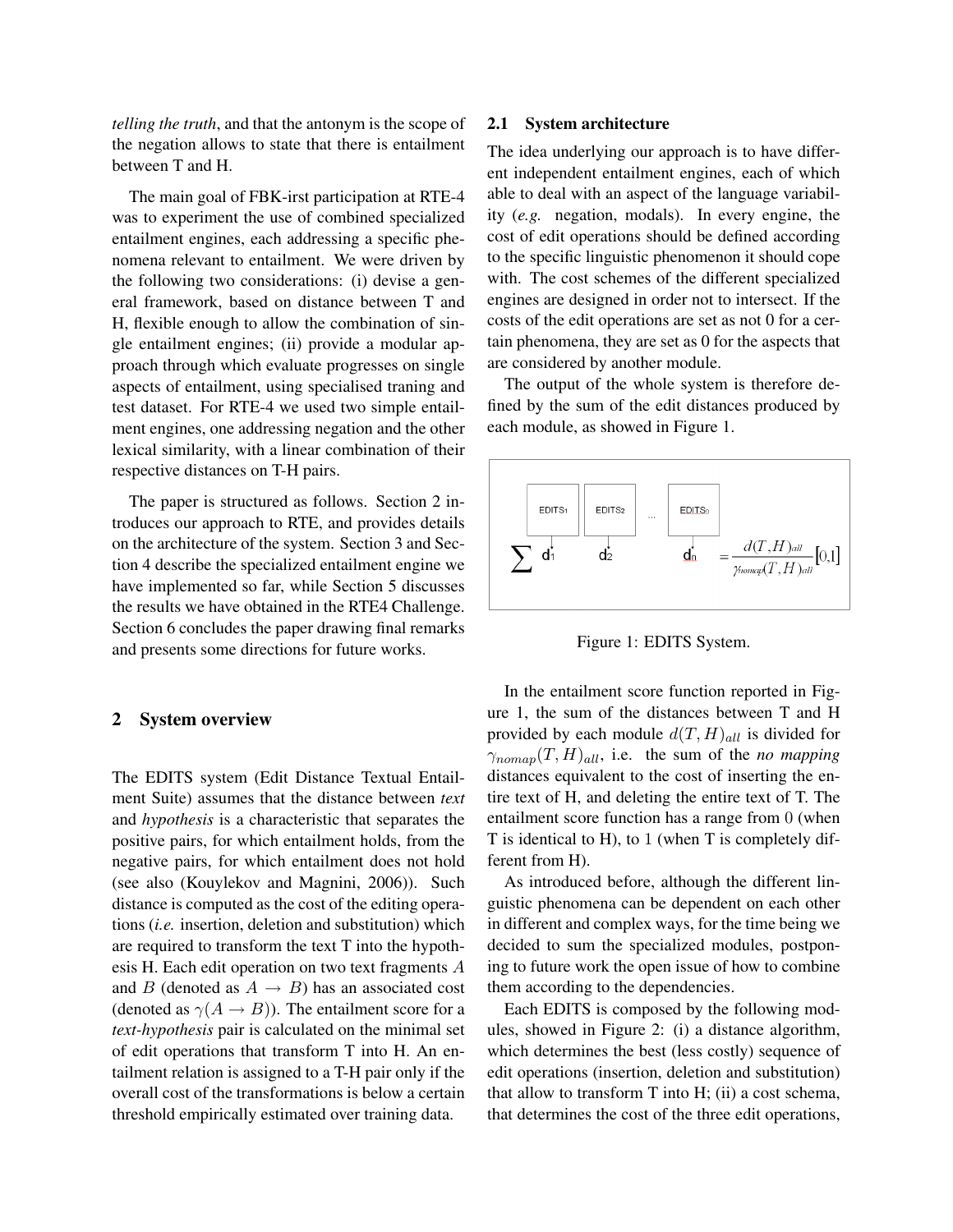*telling the truth*, and that the antonym is the scope of the negation allows to state that there is entailment between T and H.

The main goal of FBK-irst participation at RTE-4 was to experiment the use of combined specialized entailment engines, each addressing a specific phenomena relevant to entailment. We were driven by the following two considerations: (i) devise a general framework, based on distance between T and H, flexible enough to allow the combination of single entailment engines; (ii) provide a modular approach through which evaluate progresses on single aspects of entailment, using specialised traning and test dataset. For RTE-4 we used two simple entailment engines, one addressing negation and the other lexical similarity, with a linear combination of their respective distances on T-H pairs.

The paper is structured as follows. Section 2 introduces our approach to RTE, and provides details on the architecture of the system. Section 3 and Section 4 describe the specialized entailment engine we have implemented so far, while Section 5 discusses the results we have obtained in the RTE4 Challenge. Section 6 concludes the paper drawing final remarks and presents some directions for future works.

### 2 System overview

The EDITS system (Edit Distance Textual Entailment Suite) assumes that the distance between *text* and *hypothesis* is a characteristic that separates the positive pairs, for which entailment holds, from the negative pairs, for which entailment does not hold (see also (Kouylekov and Magnini, 2006)). Such distance is computed as the cost of the editing operations (*i.e.* insertion, deletion and substitution) which are required to transform the text T into the hypothesis H. Each edit operation on two text fragments A and B (denoted as  $A \rightarrow B$ ) has an associated cost (denoted as  $\gamma(A \rightarrow B)$ ). The entailment score for a *text-hypothesis* pair is calculated on the minimal set of edit operations that transform T into H. An entailment relation is assigned to a T-H pair only if the overall cost of the transformations is below a certain threshold empirically estimated over training data.

#### 2.1 System architecture

The idea underlying our approach is to have different independent entailment engines, each of which able to deal with an aspect of the language variability (*e.g.* negation, modals). In every engine, the cost of edit operations should be defined according to the specific linguistic phenomenon it should cope with. The cost schemes of the different specialized engines are designed in order not to intersect. If the costs of the edit operations are set as not 0 for a certain phenomena, they are set as 0 for the aspects that are considered by another module.

The output of the whole system is therefore defined by the sum of the edit distances produced by each module, as showed in Figure 1.



Figure 1: EDITS System.

In the entailment score function reported in Figure 1, the sum of the distances between T and H provided by each module  $d(T, H)_{all}$  is divided for  $\gamma_{\text{nomap}}(T, H)_{all}$ , i.e. the sum of the *no mapping* distances equivalent to the cost of inserting the entire text of H, and deleting the entire text of T. The entailment score function has a range from 0 (when T is identical to H), to 1 (when T is completely different from H).

As introduced before, although the different linguistic phenomena can be dependent on each other in different and complex ways, for the time being we decided to sum the specialized modules, postponing to future work the open issue of how to combine them according to the dependencies.

Each EDITS is composed by the following modules, showed in Figure 2: (i) a distance algorithm, which determines the best (less costly) sequence of edit operations (insertion, deletion and substitution) that allow to transform  $T$  into  $H$ ; (ii) a cost schema, that determines the cost of the three edit operations,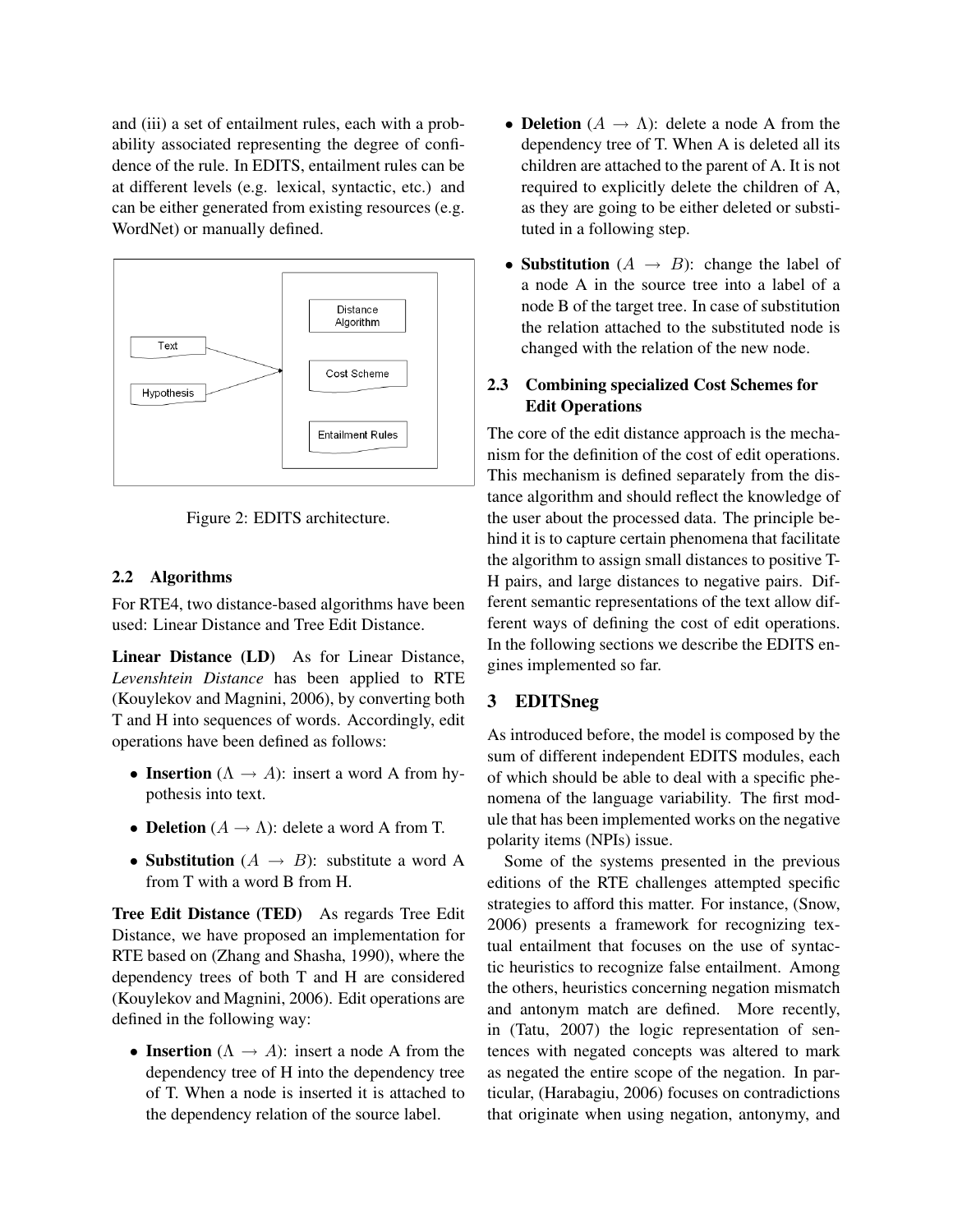and (iii) a set of entailment rules, each with a probability associated representing the degree of confidence of the rule. In EDITS, entailment rules can be at different levels (e.g. lexical, syntactic, etc.) and can be either generated from existing resources (e.g. WordNet) or manually defined.





### 2.2 Algorithms

For RTE4, two distance-based algorithms have been used: Linear Distance and Tree Edit Distance.

Linear Distance (LD) As for Linear Distance, *Levenshtein Distance* has been applied to RTE (Kouylekov and Magnini, 2006), by converting both T and H into sequences of words. Accordingly, edit operations have been defined as follows:

- Insertion  $(\Lambda \rightarrow A)$ : insert a word A from hypothesis into text.
- **Deletion**  $(A \rightarrow \Lambda)$ : delete a word A from T.
- Substitution  $(A \rightarrow B)$ : substitute a word A from T with a word B from H.

Tree Edit Distance (TED) As regards Tree Edit Distance, we have proposed an implementation for RTE based on (Zhang and Shasha, 1990), where the dependency trees of both T and H are considered (Kouylekov and Magnini, 2006). Edit operations are defined in the following way:

• Insertion  $(\Lambda \rightarrow A)$ : insert a node A from the dependency tree of H into the dependency tree of T. When a node is inserted it is attached to the dependency relation of the source label.

- Deletion  $(A \rightarrow \Lambda)$ : delete a node A from the dependency tree of T. When A is deleted all its children are attached to the parent of A. It is not required to explicitly delete the children of A, as they are going to be either deleted or substituted in a following step.
- Substitution  $(A \rightarrow B)$ : change the label of a node A in the source tree into a label of a node B of the target tree. In case of substitution the relation attached to the substituted node is changed with the relation of the new node.

# 2.3 Combining specialized Cost Schemes for Edit Operations

The core of the edit distance approach is the mechanism for the definition of the cost of edit operations. This mechanism is defined separately from the distance algorithm and should reflect the knowledge of the user about the processed data. The principle behind it is to capture certain phenomena that facilitate the algorithm to assign small distances to positive T-H pairs, and large distances to negative pairs. Different semantic representations of the text allow different ways of defining the cost of edit operations. In the following sections we describe the EDITS engines implemented so far.

# 3 EDITSneg

As introduced before, the model is composed by the sum of different independent EDITS modules, each of which should be able to deal with a specific phenomena of the language variability. The first module that has been implemented works on the negative polarity items (NPIs) issue.

Some of the systems presented in the previous editions of the RTE challenges attempted specific strategies to afford this matter. For instance, (Snow, 2006) presents a framework for recognizing textual entailment that focuses on the use of syntactic heuristics to recognize false entailment. Among the others, heuristics concerning negation mismatch and antonym match are defined. More recently, in (Tatu, 2007) the logic representation of sentences with negated concepts was altered to mark as negated the entire scope of the negation. In particular, (Harabagiu, 2006) focuses on contradictions that originate when using negation, antonymy, and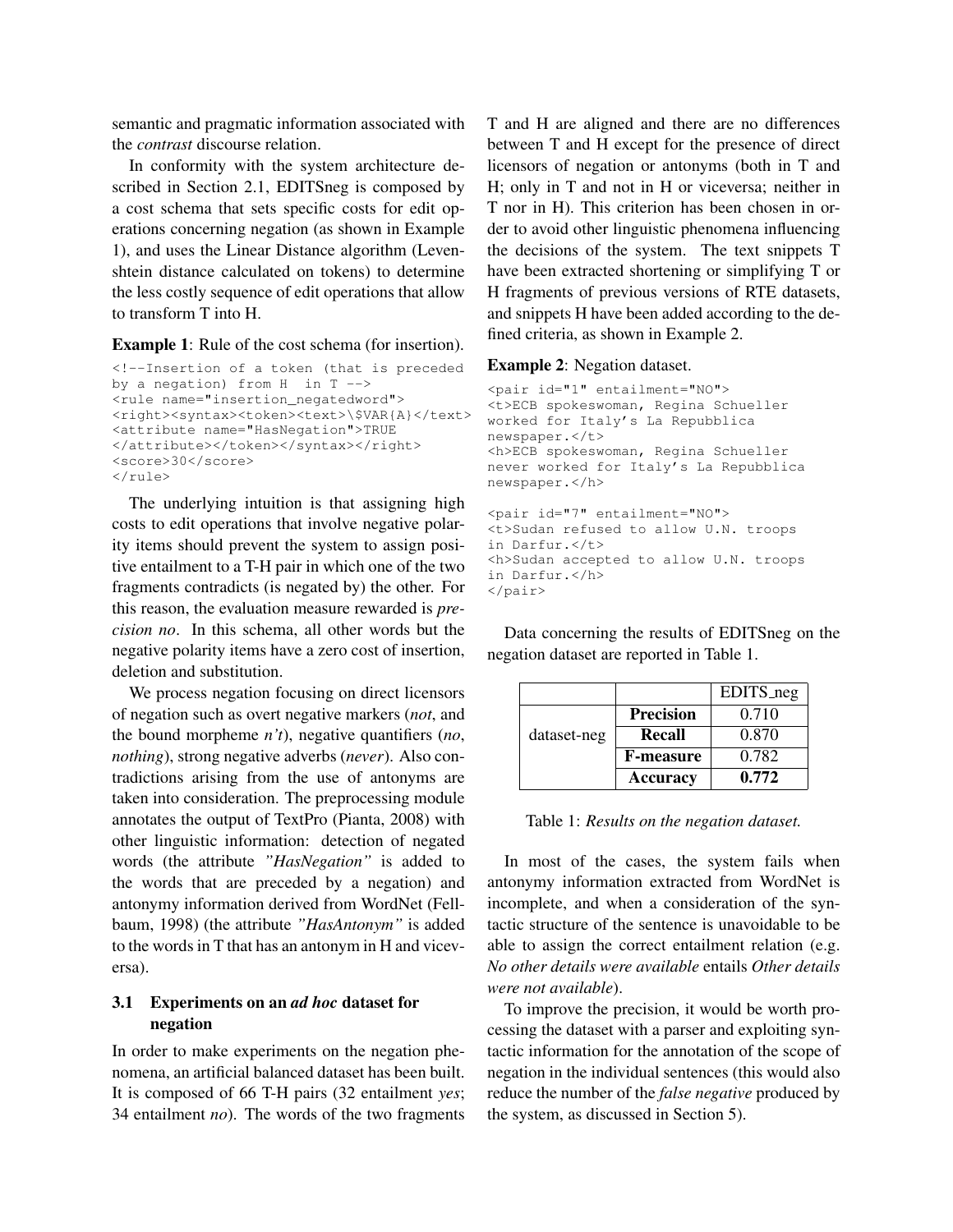semantic and pragmatic information associated with the *contrast* discourse relation.

In conformity with the system architecture described in Section 2.1, EDITSneg is composed by a cost schema that sets specific costs for edit operations concerning negation (as shown in Example 1), and uses the Linear Distance algorithm (Levenshtein distance calculated on tokens) to determine the less costly sequence of edit operations that allow to transform T into H.

Example 1: Rule of the cost schema (for insertion).

```
<!--Insertion of a token (that is preceded
by a negation) from H in T -->
<rule name="insertion_negatedword">
<right><syntax><token><text>\$VAR{A}</text>
<attribute name="HasNegation">TRUE
</attribute></token></syntax></right>
<score>30</score>
\langlerule>
```
The underlying intuition is that assigning high costs to edit operations that involve negative polarity items should prevent the system to assign positive entailment to a T-H pair in which one of the two fragments contradicts (is negated by) the other. For this reason, the evaluation measure rewarded is *precision no*. In this schema, all other words but the negative polarity items have a zero cost of insertion, deletion and substitution.

We process negation focusing on direct licensors of negation such as overt negative markers (*not*, and the bound morpheme *n't*), negative quantifiers (*no*, *nothing*), strong negative adverbs (*never*). Also contradictions arising from the use of antonyms are taken into consideration. The preprocessing module annotates the output of TextPro (Pianta, 2008) with other linguistic information: detection of negated words (the attribute *"HasNegation"* is added to the words that are preceded by a negation) and antonymy information derived from WordNet (Fellbaum, 1998) (the attribute *"HasAntonym"* is added to the words in T that has an antonym in H and viceversa).

## 3.1 Experiments on an *ad hoc* dataset for negation

In order to make experiments on the negation phenomena, an artificial balanced dataset has been built. It is composed of 66 T-H pairs (32 entailment *yes*; 34 entailment *no*). The words of the two fragments T and H are aligned and there are no differences between T and H except for the presence of direct licensors of negation or antonyms (both in T and H; only in T and not in H or viceversa; neither in T nor in H). This criterion has been chosen in order to avoid other linguistic phenomena influencing the decisions of the system. The text snippets T have been extracted shortening or simplifying T or H fragments of previous versions of RTE datasets, and snippets H have been added according to the defined criteria, as shown in Example 2.

#### Example 2: Negation dataset.

```
<pair id="1" entailment="NO">
<t>ECB spokeswoman, Regina Schueller
worked for Italy's La Repubblica
newspaper.</t>
<h>ECB spokeswoman, Regina Schueller
never worked for Italy's La Repubblica
newspaper.</h>
<pair id="7" entailment="NO">
<t>Sudan refused to allow U.N. troops
in Darfur.</t>
<h>Sudan accepted to allow U.N. troops
in Darfur.</h>
</pair>
```
Data concerning the results of EDITSneg on the negation dataset are reported in Table 1.

|             |                  | EDITS_neg |
|-------------|------------------|-----------|
|             | <b>Precision</b> | 0.710     |
| dataset-neg | Recall           | 0.870     |
|             | <b>F-measure</b> | 0.782     |
|             | <b>Accuracy</b>  | 0.772     |

Table 1: *Results on the negation dataset.*

In most of the cases, the system fails when antonymy information extracted from WordNet is incomplete, and when a consideration of the syntactic structure of the sentence is unavoidable to be able to assign the correct entailment relation (e.g. *No other details were available* entails *Other details were not available*).

To improve the precision, it would be worth processing the dataset with a parser and exploiting syntactic information for the annotation of the scope of negation in the individual sentences (this would also reduce the number of the *false negative* produced by the system, as discussed in Section 5).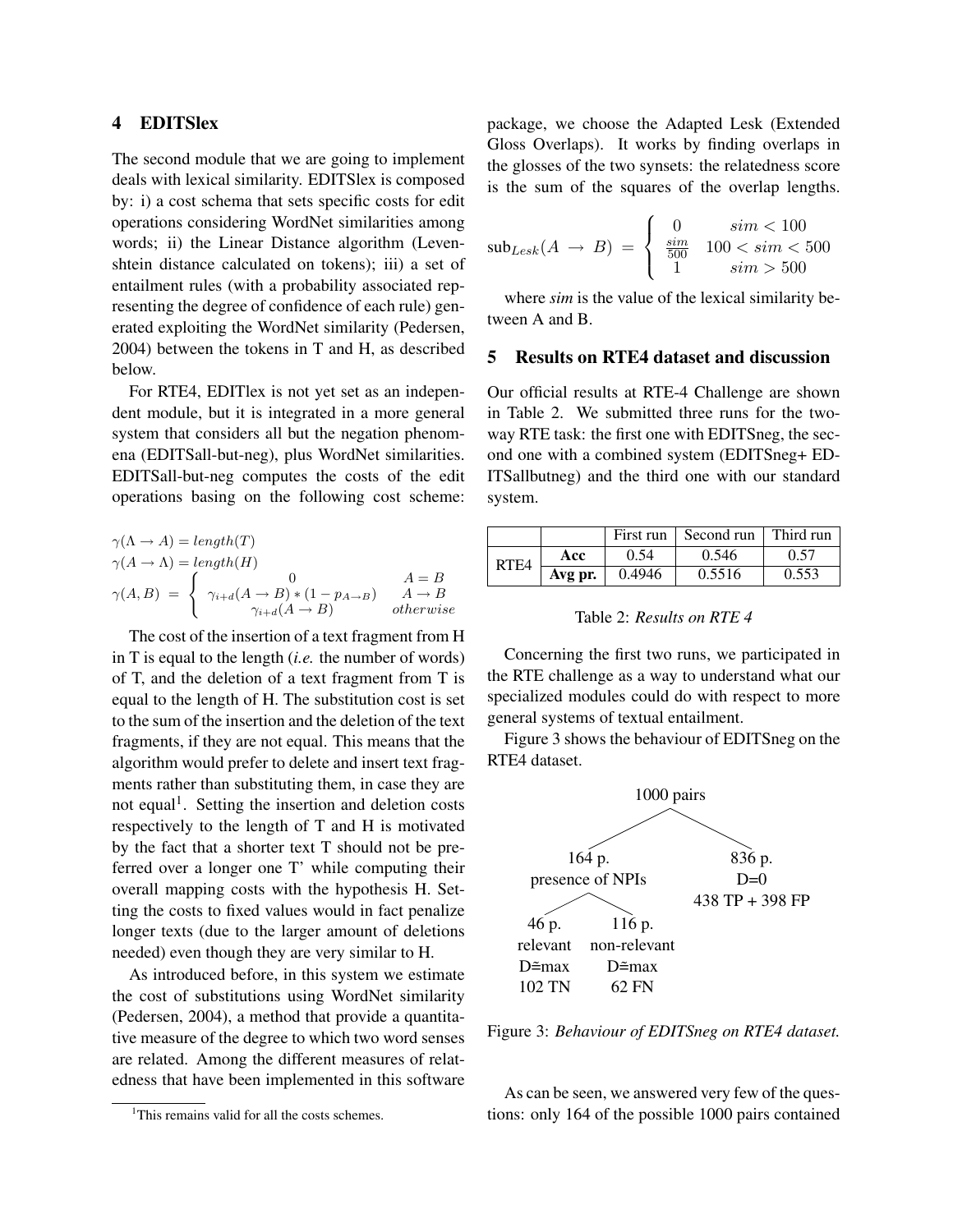## 4 EDITSlex

The second module that we are going to implement deals with lexical similarity. EDITSlex is composed by: i) a cost schema that sets specific costs for edit operations considering WordNet similarities among words; ii) the Linear Distance algorithm (Levenshtein distance calculated on tokens); iii) a set of entailment rules (with a probability associated representing the degree of confidence of each rule) generated exploiting the WordNet similarity (Pedersen, 2004) between the tokens in T and H, as described below.

For RTE4, EDITlex is not yet set as an independent module, but it is integrated in a more general system that considers all but the negation phenomena (EDITSall-but-neg), plus WordNet similarities. EDITSall-but-neg computes the costs of the edit operations basing on the following cost scheme:

$$
\gamma(\Lambda \to A) = length(T)
$$
  
\n
$$
\gamma(A \to \Lambda) = length(H)
$$
  
\n
$$
\gamma(A, B) = \begin{cases}\n0 & A = B \\
\gamma_{i+d}(A \to B) * (1 - p_{A \to B}) & A \to B \\
\gamma_{i+d}(A \to B) & otherwise\n\end{cases}
$$

The cost of the insertion of a text fragment from H in T is equal to the length (*i.e.* the number of words) of T, and the deletion of a text fragment from T is equal to the length of H. The substitution cost is set to the sum of the insertion and the deletion of the text fragments, if they are not equal. This means that the algorithm would prefer to delete and insert text fragments rather than substituting them, in case they are not equal<sup>1</sup>. Setting the insertion and deletion costs respectively to the length of T and H is motivated by the fact that a shorter text T should not be preferred over a longer one T' while computing their overall mapping costs with the hypothesis H. Setting the costs to fixed values would in fact penalize longer texts (due to the larger amount of deletions needed) even though they are very similar to H.

As introduced before, in this system we estimate the cost of substitutions using WordNet similarity (Pedersen, 2004), a method that provide a quantitative measure of the degree to which two word senses are related. Among the different measures of relatedness that have been implemented in this software

package, we choose the Adapted Lesk (Extended Gloss Overlaps). It works by finding overlaps in the glosses of the two synsets: the relatedness score is the sum of the squares of the overlap lengths.

$$
sub_{Lesk}(A \to B) = \begin{cases} 0 & sim < 100\\ \frac{sim}{500} & 100 < sim < 500\\ 1 & sim > 500 \end{cases}
$$

where *sim* is the value of the lexical similarity between A and B.

### 5 Results on RTE4 dataset and discussion

Our official results at RTE-4 Challenge are shown in Table 2. We submitted three runs for the twoway RTE task: the first one with EDITSneg, the second one with a combined system (EDITSneg+ ED-ITSallbutneg) and the third one with our standard system.

|      |         |        | First run $\vert$ Second run | $\perp$ Third run |
|------|---------|--------|------------------------------|-------------------|
| RTE4 | Acc     | 0.54   | 0.546                        | 0.57              |
|      | Avg pr. | 0.4946 | 0.5516                       | 0.553             |

Table 2: *Results on RTE 4*

Concerning the first two runs, we participated in the RTE challenge as a way to understand what our specialized modules could do with respect to more general systems of textual entailment.

Figure 3 shows the behaviour of EDITSneg on the RTE4 dataset.



Figure 3: *Behaviour of EDITSneg on RTE4 dataset.*

As can be seen, we answered very few of the questions: only 164 of the possible 1000 pairs contained

 $1$ This remains valid for all the costs schemes.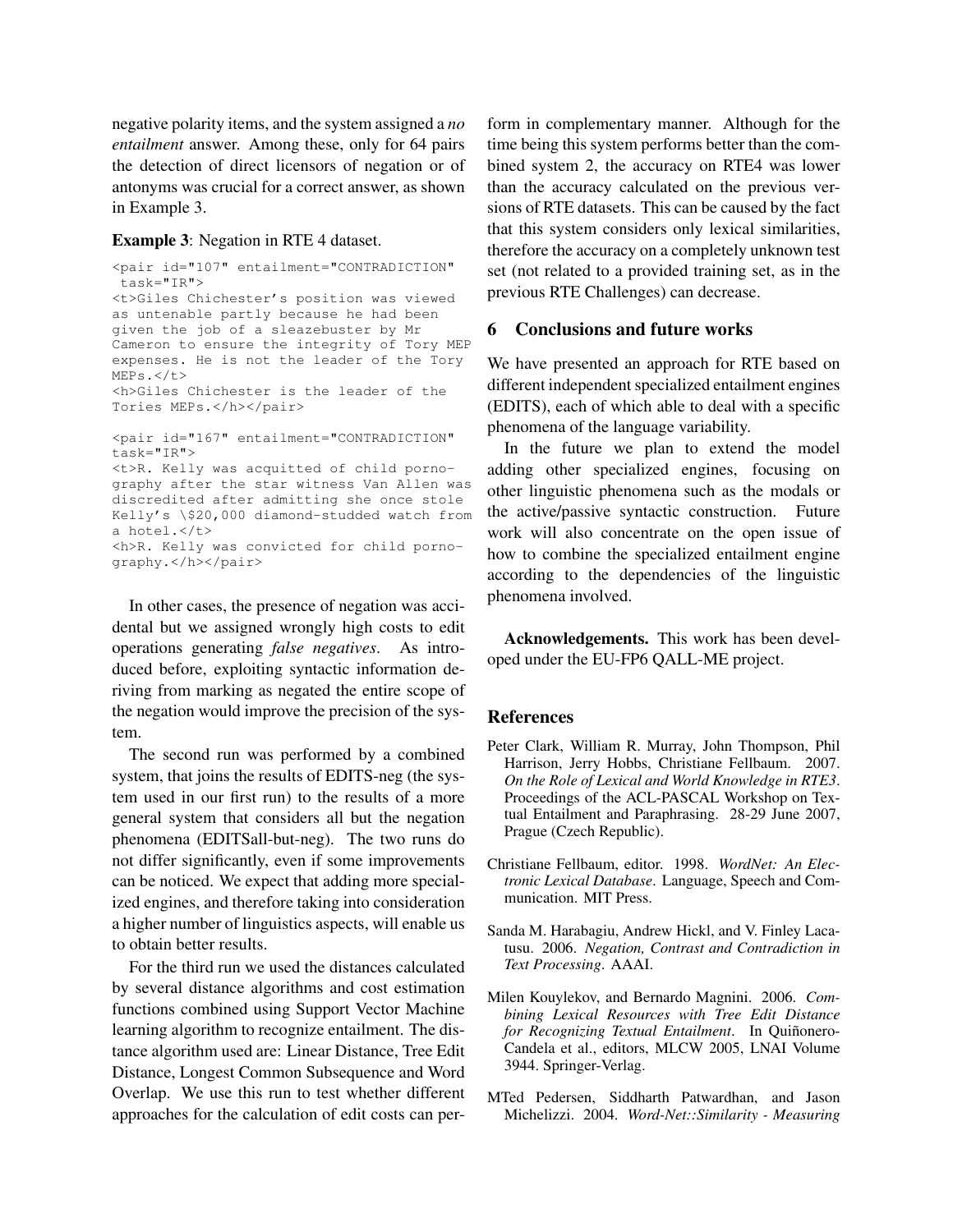negative polarity items, and the system assigned a *no entailment* answer. Among these, only for 64 pairs the detection of direct licensors of negation or of antonyms was crucial for a correct answer, as shown in Example 3.

#### Example 3: Negation in RTE 4 dataset.

```
<pair id="107" entailment="CONTRADICTION"
task="IR">
<t>Giles Chichester's position was viewed
as untenable partly because he had been
given the job of a sleazebuster by Mr
Cameron to ensure the integrity of Tory MEP
expenses. He is not the leader of the Tory
MEPs. < /t<h>Giles Chichester is the leader of the
Tories MEPs.</h></pair>
<pair id="167" entailment="CONTRADICTION"
task="IR">
<t>R. Kelly was acquitted of child porno-
graphy after the star witness Van Allen was
discredited after admitting she once stole
Kelly's \$20,000 diamond-studded watch from
a hotel.</t>
```
<h>R. Kelly was convicted for child pornography.</h></pair>

In other cases, the presence of negation was accidental but we assigned wrongly high costs to edit operations generating *false negatives*. As introduced before, exploiting syntactic information deriving from marking as negated the entire scope of the negation would improve the precision of the system.

The second run was performed by a combined system, that joins the results of EDITS-neg (the system used in our first run) to the results of a more general system that considers all but the negation phenomena (EDITSall-but-neg). The two runs do not differ significantly, even if some improvements can be noticed. We expect that adding more specialized engines, and therefore taking into consideration a higher number of linguistics aspects, will enable us to obtain better results.

For the third run we used the distances calculated by several distance algorithms and cost estimation functions combined using Support Vector Machine learning algorithm to recognize entailment. The distance algorithm used are: Linear Distance, Tree Edit Distance, Longest Common Subsequence and Word Overlap. We use this run to test whether different approaches for the calculation of edit costs can perform in complementary manner. Although for the time being this system performs better than the combined system 2, the accuracy on RTE4 was lower than the accuracy calculated on the previous versions of RTE datasets. This can be caused by the fact that this system considers only lexical similarities, therefore the accuracy on a completely unknown test set (not related to a provided training set, as in the previous RTE Challenges) can decrease.

#### 6 Conclusions and future works

We have presented an approach for RTE based on different independent specialized entailment engines (EDITS), each of which able to deal with a specific phenomena of the language variability.

In the future we plan to extend the model adding other specialized engines, focusing on other linguistic phenomena such as the modals or the active/passive syntactic construction. Future work will also concentrate on the open issue of how to combine the specialized entailment engine according to the dependencies of the linguistic phenomena involved.

Acknowledgements. This work has been developed under the EU-FP6 QALL-ME project.

#### References

- Peter Clark, William R. Murray, John Thompson, Phil Harrison, Jerry Hobbs, Christiane Fellbaum. 2007. *On the Role of Lexical and World Knowledge in RTE3*. Proceedings of the ACL-PASCAL Workshop on Textual Entailment and Paraphrasing. 28-29 June 2007, Prague (Czech Republic).
- Christiane Fellbaum, editor. 1998. *WordNet: An Electronic Lexical Database*. Language, Speech and Communication. MIT Press.
- Sanda M. Harabagiu, Andrew Hickl, and V. Finley Lacatusu. 2006. *Negation, Contrast and Contradiction in Text Processing*. AAAI.
- Milen Kouylekov, and Bernardo Magnini. 2006. *Combining Lexical Resources with Tree Edit Distance for Recognizing Textual Entailment.* In Quiñonero-Candela et al., editors, MLCW 2005, LNAI Volume 3944. Springer-Verlag.
- MTed Pedersen, Siddharth Patwardhan, and Jason Michelizzi. 2004. *Word-Net::Similarity - Measuring*